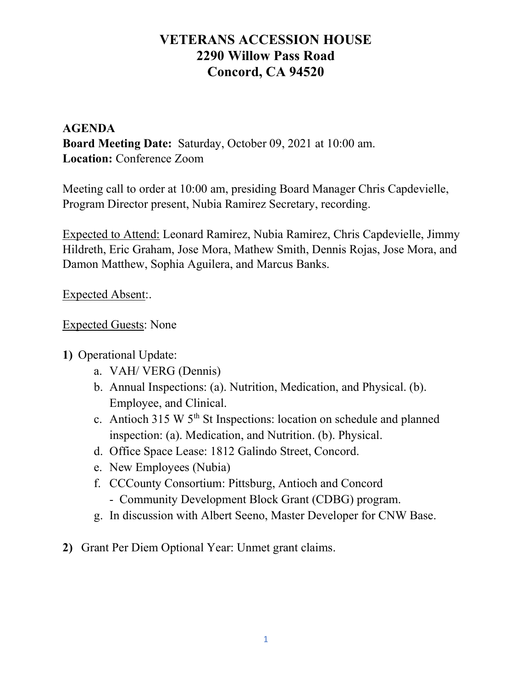# VETERANS ACCESSION HOUSE 2290 Willow Pass Road Concord, CA 94520

### AGENDA Board Meeting Date: Saturday, October 09, 2021 at 10:00 am. Location: Conference Zoom

Meeting call to order at 10:00 am, presiding Board Manager Chris Capdevielle, Program Director present, Nubia Ramirez Secretary, recording.

Expected to Attend: Leonard Ramirez, Nubia Ramirez, Chris Capdevielle, Jimmy Hildreth, Eric Graham, Jose Mora, Mathew Smith, Dennis Rojas, Jose Mora, and Damon Matthew, Sophia Aguilera, and Marcus Banks.

Expected Absent:.

#### Expected Guests: None

#### 1) Operational Update:

- a. VAH/ VERG (Dennis)
- b. Annual Inspections: (a). Nutrition, Medication, and Physical. (b). Employee, and Clinical.
- c. Antioch 315 W 5th St Inspections: location on schedule and planned inspection: (a). Medication, and Nutrition. (b). Physical.
- d. Office Space Lease: 1812 Galindo Street, Concord.
- e. New Employees (Nubia)
- f. CCCounty Consortium: Pittsburg, Antioch and Concord
	- Community Development Block Grant (CDBG) program.
- g. In discussion with Albert Seeno, Master Developer for CNW Base.
- 2) Grant Per Diem Optional Year: Unmet grant claims.